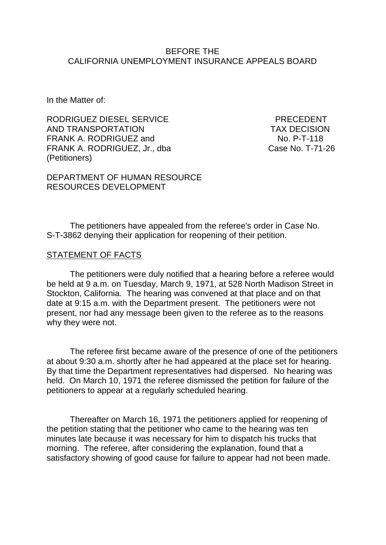#### BEFORE THE CALIFORNIA UNEMPLOYMENT INSURANCE APPEALS BOARD

In the Matter of:

RODRIGUEZ DIESEL SERVICE FREEDENT AND TRANSPORTATION TAX DECISION FRANK A. RODRIGUEZ and No. P-T-118 FRANK A. RODRIGUEZ, Jr., dba Case No. T-71-26 (Petitioners)

DEPARTMENT OF HUMAN RESOURCE RESOURCES DEVELOPMENT

The petitioners have appealed from the referee's order in Case No. S-T-3862 denying their application for reopening of their petition.

#### STATEMENT OF FACTS

The petitioners were duly notified that a hearing before a referee would be held at 9 a.m. on Tuesday, March 9, 1971, at 528 North Madison Street in Stockton, California. The hearing was convened at that place and on that date at 9:15 a.m. with the Department present. The petitioners were not present, nor had any message been given to the referee as to the reasons why they were not.

The referee first became aware of the presence of one of the petitioners at about 9:30 a.m. shortly after he had appeared at the place set for hearing. By that time the Department representatives had dispersed. No hearing was held. On March 10, 1971 the referee dismissed the petition for failure of the petitioners to appear at a regularly scheduled hearing.

Thereafter on March 16, 1971 the petitioners applied for reopening of the petition stating that the petitioner who came to the hearing was ten minutes late because it was necessary for him to dispatch his trucks that morning. The referee, after considering the explanation, found that a satisfactory showing of good cause for failure to appear had not been made.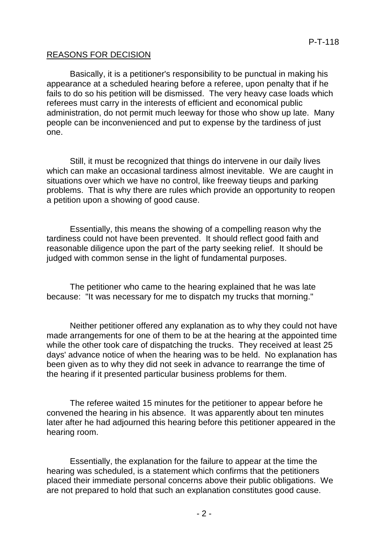### REASONS FOR DECISION

Basically, it is a petitioner's responsibility to be punctual in making his appearance at a scheduled hearing before a referee, upon penalty that if he fails to do so his petition will be dismissed. The very heavy case loads which referees must carry in the interests of efficient and economical public administration, do not permit much leeway for those who show up late. Many people can be inconvenienced and put to expense by the tardiness of just one.

Still, it must be recognized that things do intervene in our daily lives which can make an occasional tardiness almost inevitable. We are caught in situations over which we have no control, like freeway tieups and parking problems. That is why there are rules which provide an opportunity to reopen a petition upon a showing of good cause.

Essentially, this means the showing of a compelling reason why the tardiness could not have been prevented. It should reflect good faith and reasonable diligence upon the part of the party seeking relief. It should be judged with common sense in the light of fundamental purposes.

The petitioner who came to the hearing explained that he was late because: "It was necessary for me to dispatch my trucks that morning."

Neither petitioner offered any explanation as to why they could not have made arrangements for one of them to be at the hearing at the appointed time while the other took care of dispatching the trucks. They received at least 25 days' advance notice of when the hearing was to be held. No explanation has been given as to why they did not seek in advance to rearrange the time of the hearing if it presented particular business problems for them.

The referee waited 15 minutes for the petitioner to appear before he convened the hearing in his absence. It was apparently about ten minutes later after he had adjourned this hearing before this petitioner appeared in the hearing room.

Essentially, the explanation for the failure to appear at the time the hearing was scheduled, is a statement which confirms that the petitioners placed their immediate personal concerns above their public obligations. We are not prepared to hold that such an explanation constitutes good cause.